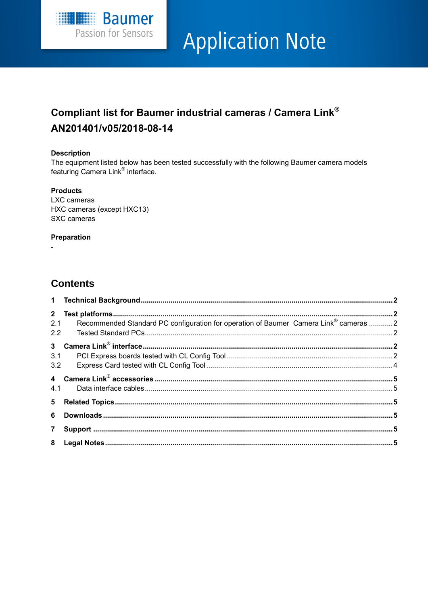

# **Application Note**

# Compliant list for Baumer industrial cameras / Camera Link® AN201401/v05/2018-08-14

#### **Description**

The equipment listed below has been tested successfully with the following Baumer camera models featuring Camera Link<sup>®</sup> interface.

#### **Products**

LXC cameras HXC cameras (except HXC13) SXC cameras

#### Preparation

## **Contents**

| 2.1 | Recommended Standard PC configuration for operation of Baumer Camera Link® cameras 2 |  |
|-----|--------------------------------------------------------------------------------------|--|
|     |                                                                                      |  |
|     |                                                                                      |  |
| 3.1 |                                                                                      |  |
|     |                                                                                      |  |
|     |                                                                                      |  |
|     |                                                                                      |  |
|     |                                                                                      |  |
|     |                                                                                      |  |
|     |                                                                                      |  |
|     |                                                                                      |  |
|     |                                                                                      |  |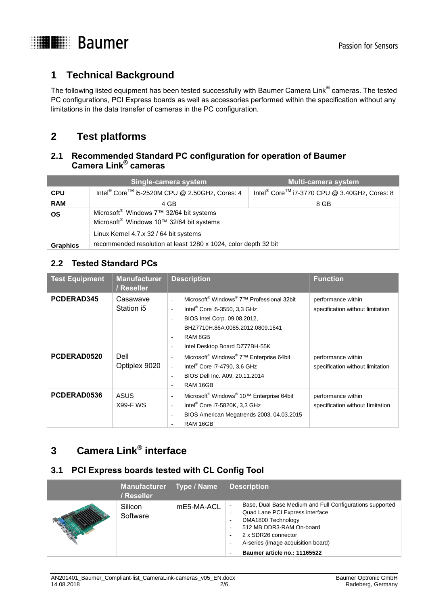

# <span id="page-1-0"></span>**1 Technical Background**

The following listed equipment has been tested successfully with Baumer Camera Link $^{\circ}$  cameras. The tested PC configurations, PCI Express boards as well as accessories performed within the specification without any limitations in the data transfer of cameras in the PC configuration.

## <span id="page-1-1"></span>**2 Test platforms**

## <span id="page-1-2"></span>**2.1 Recommended Standard PC configuration for operation of Baumer Camera Link® cameras**

|                 | Single-camera system                                                                                                                                              | <b>Multi-camera system</b>                                           |  |  |
|-----------------|-------------------------------------------------------------------------------------------------------------------------------------------------------------------|----------------------------------------------------------------------|--|--|
| <b>CPU</b>      | Intel <sup>®</sup> Core <sup>™</sup> i5-2520M CPU @ 2.50GHz, Cores: 4                                                                                             | Intel <sup>®</sup> Core <sup>™</sup> i7-3770 CPU @ 3.40GHz, Cores: 8 |  |  |
| <b>RAM</b>      | 4 GB<br>8 GB                                                                                                                                                      |                                                                      |  |  |
| <b>OS</b>       | Microsoft <sup>®</sup> Windows 7 <sup>™</sup> 32/64 bit systems<br>Microsoft <sup>®</sup> Windows 10™ 32/64 bit systems<br>Linux Kernel 4.7.x 32 / 64 bit systems |                                                                      |  |  |
| <b>Graphics</b> | recommended resolution at least 1280 x 1024, color depth 32 bit                                                                                                   |                                                                      |  |  |

#### <span id="page-1-3"></span>**2.2 Tested Standard PCs**

| <b>Test Equipment</b> | <b>Manufacturer</b><br>/ Reseller | <b>Description</b>                                                                                                                                                                                                                                                                                                             | <b>Function</b>                                        |  |
|-----------------------|-----------------------------------|--------------------------------------------------------------------------------------------------------------------------------------------------------------------------------------------------------------------------------------------------------------------------------------------------------------------------------|--------------------------------------------------------|--|
| PCDERAD345            | Casawave<br>Station i5            | Microsoft <sup>®</sup> Windows <sup>®</sup> 7 <sup>™</sup> Professional 32bit<br>$\overline{\phantom{a}}$<br>Intel <sup>®</sup> Core i5-3550, 3,3 GHz<br>BIOS Intel Corp. 09.08.2012,<br>$\overline{\phantom{a}}$<br>BHZ7710H.86A.0085.2012.0809.1641<br>RAM 8GB<br>$\overline{\phantom{a}}$<br>Intel Desktop Board DZ77BH-55K | performance within<br>specification without limitation |  |
| PCDERAD0520           | Dell<br>Optiplex 9020             | Microsoft <sup>®</sup> Windows <sup>®</sup> 7 <sup>™</sup> Enterprise 64bit<br>Intel <sup>®</sup> Core i7-4790, 3,6 GHz<br>BIOS Dell Inc. A09, 20.11.2014<br>RAM 16GB<br>$\overline{\phantom{a}}$                                                                                                                              | performance within<br>specification without limitation |  |
| PCDERAD0536           | <b>ASUS</b><br><b>X99-F WS</b>    | Microsoft <sup>®</sup> Windows <sup>®</sup> 10™ Enterprise 64bit<br>$\overline{\phantom{a}}$<br>Intel <sup>®</sup> Core i7-5820K, 3,3 GHz<br>٠<br>BIOS American Megatrends 2003, 04.03.2015<br>$\overline{\phantom{a}}$<br>RAM 16GB<br>٠                                                                                       | performance within<br>specification without limitation |  |

# <span id="page-1-4"></span>**3 Camera Link® interface**

#### <span id="page-1-5"></span>**3.1 PCI Express boards tested with CL Config Tool**

| Manufacturer Type / Name<br>/ Reseller |            | <b>Description</b>                                                                                                                                                                                                                                                                                   |
|----------------------------------------|------------|------------------------------------------------------------------------------------------------------------------------------------------------------------------------------------------------------------------------------------------------------------------------------------------------------|
| Silicon<br>Software                    | mE5-MA-ACL | Base, Dual Base Medium and Full Configurations supported<br>٠<br>Quad Lane PCI Express interface<br>٠<br>DMA1800 Technology<br>$\overline{\phantom{a}}$<br>512 MB DDR3-RAM On-board<br>2 x SDR26 connector<br>A-series (image acquisition board)<br>$\sim$<br>Baumer article no.: 11165522<br>$\sim$ |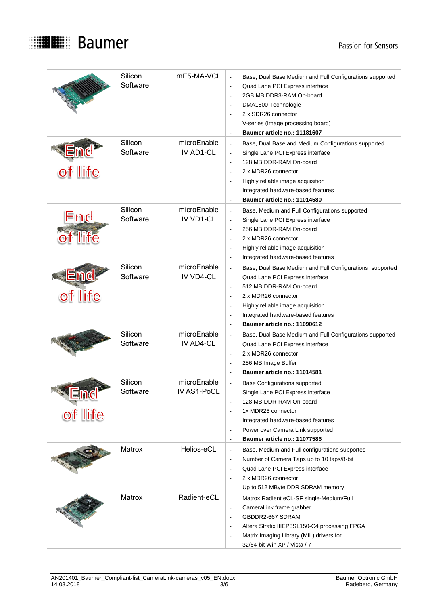

|                         | Silicon<br>Software | mE5-MA-VCL                 | Base, Dual Base Medium and Full Configurations supported<br>Quad Lane PCI Express interface<br>2GB MB DDR3-RAM On-board<br>DMA1800 Technologie<br>$\overline{\phantom{a}}$<br>2 x SDR26 connector<br>$\overline{\phantom{a}}$<br>V-series (Image processing board)<br>Baumer article no.: 11181607<br>ä,                                                                                                       |
|-------------------------|---------------------|----------------------------|----------------------------------------------------------------------------------------------------------------------------------------------------------------------------------------------------------------------------------------------------------------------------------------------------------------------------------------------------------------------------------------------------------------|
| of life                 | Silicon<br>Software | microEnable<br>IV AD1-CL   | Base, Dual Base and Medium Configurations supported<br>$\overline{\phantom{a}}$<br>Single Lane PCI Express interface<br>128 MB DDR-RAM On-board<br>$\overline{\phantom{a}}$<br>2 x MDR26 connector<br>$\overline{\phantom{a}}$<br>Highly reliable image acquisition<br>L,<br>Integrated hardware-based features<br>Baumer article no.: 11014580<br>L,                                                          |
| End                     | Silicon<br>Software | microEnable<br>IV VD1-CL   | Base, Medium and Full Configurations supported<br>$\bar{\phantom{a}}$<br>Single Lane PCI Express interface<br>256 MB DDR-RAM On-board<br>2 x MDR26 connector<br>÷,<br>Highly reliable image acquisition<br>L,<br>Integrated hardware-based features                                                                                                                                                            |
| of life                 | Silicon<br>Software | microEnable<br>IV VD4-CL   | Base, Dual Base Medium and Full Configurations supported<br>$\overline{\phantom{a}}$<br>Quad Lane PCI Express interface<br>$\overline{\phantom{a}}$<br>512 MB DDR-RAM On-board<br>$\sim$<br>2 x MDR26 connector<br>$\overline{\phantom{a}}$<br>Highly reliable image acquisition<br>$\overline{\phantom{a}}$<br>Integrated hardware-based features<br>$\overline{\phantom{a}}$<br>Baumer article no.: 11090612 |
|                         | Silicon<br>Software | microEnable<br>IV AD4-CL   | Base, Dual Base Medium and Full Configurations supported<br>$\overline{\phantom{a}}$<br>Quad Lane PCI Express interface<br>$\overline{\phantom{a}}$<br>2 x MDR26 connector<br>L,<br>256 MB Image Buffer<br>Baumer article no.: 11014581<br>÷,                                                                                                                                                                  |
| <u> Land</u><br>of life | Silicon<br>Software | microEnable<br>IV AS1-PoCL | <b>Base Configurations supported</b><br>Single Lane PCI Express interface<br>128 MB DDR-RAM On-board<br>1x MDR26 connector<br>$\overline{\phantom{a}}$<br>Integrated hardware-based features<br>$\overline{\phantom{a}}$<br>Power over Camera Link supported<br>$\overline{\phantom{a}}$<br>Baumer article no.: 11077586<br>$\overline{\phantom{a}}$                                                           |
|                         | Matrox              | Helios-eCL                 | Base, Medium and Full configurations supported<br>$\overline{\phantom{a}}$<br>Number of Camera Taps up to 10 taps/8-bit<br>$\overline{\phantom{a}}$<br>Quad Lane PCI Express interface<br>$\overline{\phantom{a}}$<br>2 x MDR26 connector<br>$\overline{\phantom{a}}$<br>Up to 512 MByte DDR SDRAM memory                                                                                                      |
|                         | Matrox              | Radient-eCL                | Matrox Radient eCL-SF single-Medium/Full<br>$\overline{\phantom{a}}$<br>CameraLink frame grabber<br>$\overline{\phantom{a}}$<br>GBDDR2-667 SDRAM<br>$\overline{a}$<br>Altera Stratix IIIEP3SL150-C4 processing FPGA<br>Matrix Imaging Library (MIL) drivers for<br>32/64-bit Win XP / Vista / 7                                                                                                                |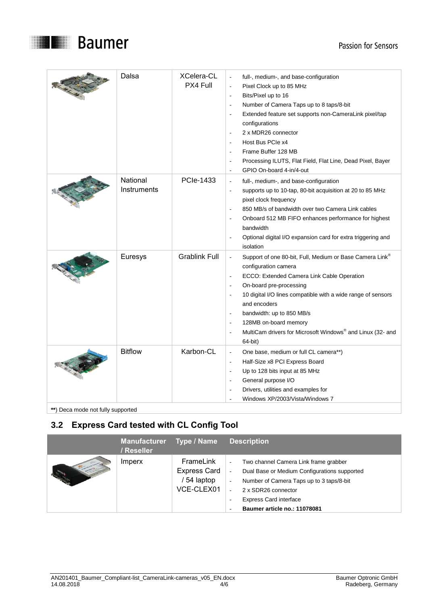



| Dalsa                   | <b>XCelera-CL</b><br>PX4 Full | full-, medium-, and base-configuration<br>Pixel Clock up to 85 MHz<br>$\overline{\phantom{a}}$<br>Bits/Pixel up to 16<br>$\overline{\phantom{a}}$<br>Number of Camera Taps up to 8 taps/8-bit<br>$\overline{\phantom{a}}$<br>Extended feature set supports non-CameraLink pixel/tap<br>$\overline{\phantom{a}}$<br>configurations<br>2 x MDR26 connector<br>Host Bus PCIe x4<br>÷.<br>Frame Buffer 128 MB<br>$\overline{\phantom{a}}$<br>Processing ILUTS, Flat Field, Flat Line, Dead Pixel, Bayer<br>÷,<br>GPIO On-board 4-in/4-out<br>٠ |
|-------------------------|-------------------------------|--------------------------------------------------------------------------------------------------------------------------------------------------------------------------------------------------------------------------------------------------------------------------------------------------------------------------------------------------------------------------------------------------------------------------------------------------------------------------------------------------------------------------------------------|
| National<br>Instruments | <b>PCIe-1433</b>              | full-, medium-, and base-configuration<br>$\overline{\phantom{a}}$<br>supports up to 10-tap, 80-bit acquisition at 20 to 85 MHz<br>Ĭ.<br>pixel clock frequency<br>850 MB/s of bandwidth over two Camera Link cables<br>٠<br>Onboard 512 MB FIFO enhances performance for highest<br>bandwidth<br>Optional digital I/O expansion card for extra triggering and<br>isolation                                                                                                                                                                 |
| Euresys                 | <b>Grablink Full</b>          | Support of one 80-bit, Full, Medium or Base Camera Link®<br>$\overline{\phantom{a}}$<br>configuration camera<br>ECCO: Extended Camera Link Cable Operation<br>٠<br>On-board pre-processing<br>10 digital I/O lines compatible with a wide range of sensors<br>and encoders<br>bandwidth: up to 850 MB/s<br>$\overline{a}$<br>128MB on-board memory<br>$\overline{a}$<br>MultiCam drivers for Microsoft Windows® and Linux (32- and<br>L.<br>64-bit)                                                                                        |
| <b>Bitflow</b>          | Karbon-CL                     | One base, medium or full CL camera**)<br>$\overline{a}$<br>Half-Size x8 PCI Express Board<br>J.<br>Up to 128 bits input at 85 MHz<br>÷.<br>General purpose I/O<br>Drivers, utilities and examples for<br>Windows XP/2003/Vista/Windows 7                                                                                                                                                                                                                                                                                                   |

**\*\***) Deca mode not fully supported

## <span id="page-3-0"></span>**3.2 Express Card tested with CL Config Tool**

| <b>Manufacturer</b><br>/ Reseller | Type / Name                                                 | <b>Description</b>                                                                                                                                                                                                                                         |
|-----------------------------------|-------------------------------------------------------------|------------------------------------------------------------------------------------------------------------------------------------------------------------------------------------------------------------------------------------------------------------|
| Imperx                            | FrameLink<br><b>Express Card</b><br>54 laptop<br>VCE-CLEX01 | Two channel Camera Link frame grabber<br>٠<br>Dual Base or Medium Configurations supported<br>Number of Camera Taps up to 3 taps/8-bit<br>$\overline{\phantom{a}}$<br>2 x SDR26 connector<br><b>Express Card interface</b><br>Baumer article no.: 11078081 |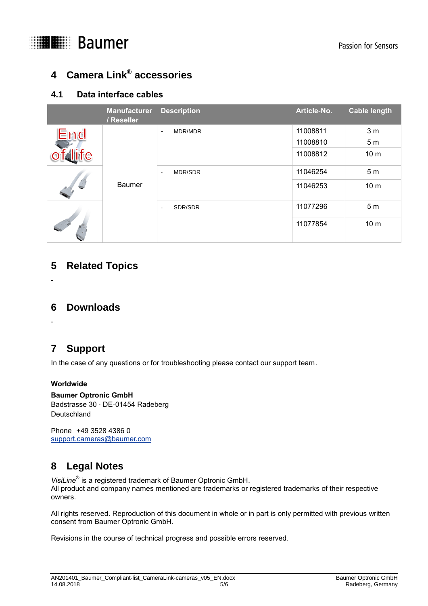

# <span id="page-4-0"></span>**4 Camera Link® accessories**

### <span id="page-4-1"></span>**4.1 Data interface cables**

|        | <b>Manufacturer</b><br>/ Reseller | <b>Description</b>                         | Article-No. | <b>Cable length</b> |
|--------|-----------------------------------|--------------------------------------------|-------------|---------------------|
| End    |                                   | MDR/MDR<br>$\blacksquare$                  | 11008811    | 3 <sub>m</sub>      |
|        |                                   |                                            | 11008810    | 5 <sub>m</sub>      |
| falife | <b>Baumer</b>                     |                                            | 11008812    | 10 <sub>m</sub>     |
|        |                                   | <b>MDR/SDR</b><br>$\overline{\phantom{a}}$ | 11046254    | 5 <sub>m</sub>      |
|        |                                   |                                            | 11046253    | 10 <sub>m</sub>     |
|        |                                   | SDR/SDR<br>$\overline{\phantom{a}}$        | 11077296    | 5 <sub>m</sub>      |
|        |                                   |                                            | 11077854    | 10 <sub>m</sub>     |

## <span id="page-4-2"></span>**5 Related Topics**

<span id="page-4-3"></span>-

## **6 Downloads**

<span id="page-4-4"></span>-

# **7 Support**

In the case of any questions or for troubleshooting please contact our support team.

#### **Worldwide**

#### **Baumer Optronic GmbH**

Badstrasse 30 ∙ DE-01454 Radeberg **Deutschland** 

<span id="page-4-5"></span>Phone +49 3528 4386 0 [support.cameras@baumer.com](mailto:support.cameras@baumer.com)

# **8 Legal Notes**

*VisiLine*® is a registered trademark of Baumer Optronic GmbH. All product and company names mentioned are trademarks or registered trademarks of their respective owners.

All rights reserved. Reproduction of this document in whole or in part is only permitted with previous written consent from Baumer Optronic GmbH.

Revisions in the course of technical progress and possible errors reserved.